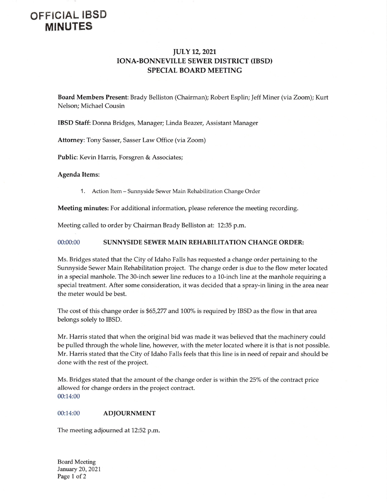## OFFICIAL IBSD MINUTES

## JULY 12, 2021 IONA-BONNEVILLE SEWER DISTRICT (IBSD) SPECIAL BOARD MEETING

Board Members Present: Brady Belliston( Chairman); Robert Esplin; Jeff Miner( via Zoom); Kurt Nelson; Michael Cousin

IBSD Staff: Donna Bridges, Manager; Linda Beazer, Assistant Manager

Attorney: Tony Sasser, Sasser Law Office (via Zoom)

Public: Kevin Harris, Forsgren & Associates;

Agenda Items:

1. Action Item—Sunnyside Sewer Main Rehabilitation Change Order

Meeting minutes: For additional information, please reference the meeting recording.

Meeting called to order by Chairman Brady Belliston at: 12:35 p.m.

## 00:00:00 SUNNYSIDE SEWER MAIN REHABILITATION CHANGE ORDER:

Ms. Bridges stated that the City of Idaho Falls has requested <sup>a</sup> change order pertaining to the Sunnyside Sewer Main Rehabilitation project. The change order is due to the flow meter located in a special manhole. The 30-inch sewer line reduces to a 10-inch line at the manhole requiring a special treatment. After some consideration, it was decided that <sup>a</sup> spray-in lining in the area near the meter would be best.

The cost of this change order is \$65,277 and 100% is required by IBSD as the flow in that area belongs solely to IBSD.

Mr. Harris stated that when the original bid was made it was believed that the machinery could be pulled through the whole line, however, with the meter located where it is that is not possible. Mr. Harris stated that the City of Idaho Falls feels that this line is in need of repair and should be done with the rest of the project.

Ms. Bridges stated that the amount of the change order is within the 25% of the contract price allowed for change orders in the project contract. 00:14:00

## 00:14:00 ADJOURNMENT

The meeting adjourned at 12:52 p.m.

Board Meeting January 20, 2021 Page I of <sup>2</sup>